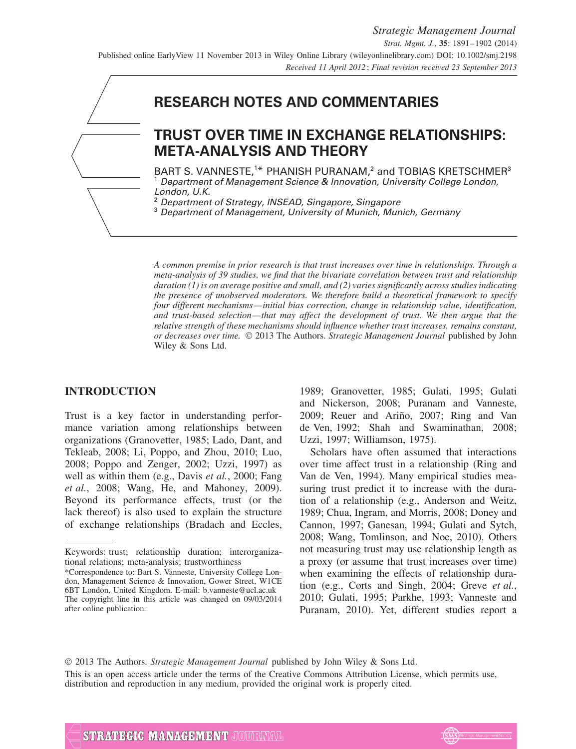# **RESEARCH NOTES AND COMMENTARIES**

# **TRUST OVER TIME IN EXCHANGE RELATIONSHIPS: META-ANALYSIS AND THEORY**

 $\mathsf{BART}\ \mathsf{S.}\ \mathsf{VANNESTE.}^{\mathsf{1}\ast}$  PHANISH PURANAM, $^{\mathsf{2}}$  and TOBIAS <code>KRETSCHMER</code>  $^{\mathsf{3}}$ Department of Management Science & Innovation, University College London, London, U.K.

<sup>2</sup> Department of Strategy, INSEAD, Singapore, Singapore

<sup>3</sup> Department of Management, University of Munich, Munich, Germany

*A common premise in prior research is that trust increases over time in relationships. Through a meta-analysis of 39 studies, we find that the bivariate correlation between trust and relationship duration (1) is on average positive and small, and (2) varies significantly across studies indicating the presence of unobserved moderators. We therefore build a theoretical framework to specify four different mechanisms—initial bias correction, change in relationship value, identification, and trust-based selection—that may affect the development of trust. We then argue that the relative strength of these mechanisms should influence whether trust increases, remains constant, or decreases over time.* © 2013 The Authors. *Strategic Management Journal* published by John Wiley & Sons Ltd.

# **INTRODUCTION**

Trust is a key factor in understanding performance variation among relationships between organizations (Granovetter, 1985; Lado, Dant, and Tekleab, 2008; Li, Poppo, and Zhou, 2010; Luo, 2008; Poppo and Zenger, 2002; Uzzi, 1997) as well as within them (e.g., Davis *et al.*, 2000; Fang *et al.*, 2008; Wang, He, and Mahoney, 2009). Beyond its performance effects, trust (or the lack thereof) is also used to explain the structure of exchange relationships (Bradach and Eccles,

1989; Granovetter, 1985; Gulati, 1995; Gulati and Nickerson, 2008; Puranam and Vanneste, 2009; Reuer and Ariño, 2007; Ring and Van de Ven, 1992; Shah and Swaminathan, 2008; Uzzi, 1997; Williamson, 1975).

Scholars have often assumed that interactions over time affect trust in a relationship (Ring and Van de Ven, 1994). Many empirical studies measuring trust predict it to increase with the duration of a relationship (e.g., Anderson and Weitz, 1989; Chua, Ingram, and Morris, 2008; Doney and Cannon, 1997; Ganesan, 1994; Gulati and Sytch, 2008; Wang, Tomlinson, and Noe, 2010). Others not measuring trust may use relationship length as a proxy (or assume that trust increases over time) when examining the effects of relationship duration (e.g., Corts and Singh, 2004; Greve *et al.*, 2010; Gulati, 1995; Parkhe, 1993; Vanneste and Puranam, 2010). Yet, different studies report a

© 2013 The Authors. *Strategic Management Journal* published by John Wiley & Sons Ltd.

This is an open access article under the terms of the Creative Commons Attribution License, which permits use, distribution and reproduction in any medium, provided the original work is properly cited.



Keywords: trust; relationship duration; interorganizational relations; meta-analysis; trustworthiness

<sup>\*</sup>Correspondence to: Bart S. Vanneste, University College London, Management Science & Innovation, Gower Street, W1CE 6BT London, United Kingdom. E-mail: b.vanneste@ucl.ac.uk The copyright line in this article was changed on 09/03/2014 after online publication.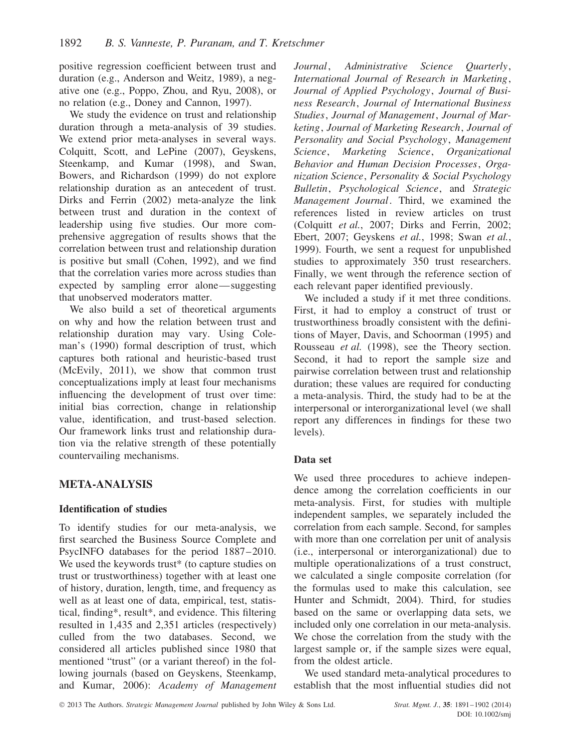positive regression coefficient between trust and duration (e.g., Anderson and Weitz, 1989), a negative one (e.g., Poppo, Zhou, and Ryu, 2008), or no relation (e.g., Doney and Cannon, 1997).

We study the evidence on trust and relationship duration through a meta-analysis of 39 studies. We extend prior meta-analyses in several ways. Colquitt, Scott, and LePine (2007), Geyskens, Steenkamp, and Kumar (1998), and Swan, Bowers, and Richardson (1999) do not explore relationship duration as an antecedent of trust. Dirks and Ferrin (2002) meta-analyze the link between trust and duration in the context of leadership using five studies. Our more comprehensive aggregation of results shows that the correlation between trust and relationship duration is positive but small (Cohen, 1992), and we find that the correlation varies more across studies than expected by sampling error alone—suggesting that unobserved moderators matter.

We also build a set of theoretical arguments on why and how the relation between trust and relationship duration may vary. Using Coleman's (1990) formal description of trust, which captures both rational and heuristic-based trust (McEvily, 2011), we show that common trust conceptualizations imply at least four mechanisms influencing the development of trust over time: initial bias correction, change in relationship value, identification, and trust-based selection. Our framework links trust and relationship duration via the relative strength of these potentially countervailing mechanisms.

# **META-ANALYSIS**

# **Identification of studies**

To identify studies for our meta-analysis, we first searched the Business Source Complete and PsycINFO databases for the period 1887–2010. We used the keywords trust\* (to capture studies on trust or trustworthiness) together with at least one of history, duration, length, time, and frequency as well as at least one of data, empirical, test, statistical, finding\*, result\*, and evidence. This filtering resulted in 1,435 and 2,351 articles (respectively) culled from the two databases. Second, we considered all articles published since 1980 that mentioned "trust" (or a variant thereof) in the following journals (based on Geyskens, Steenkamp, and Kumar, 2006): *Academy of Management* *Journal*, *Administrative Science Quarterly*, *International Journal of Research in Marketing*, *Journal of Applied Psychology*, *Journal of Business Research*, *Journal of International Business Studies*, *Journal of Management*, *Journal of Marketing*, *Journal of Marketing Research*, *Journal of Personality and Social Psychology*, *Management Science*, *Marketing Science*, *Organizational Behavior and Human Decision Processes*, *Organization Science*, *Personality & Social Psychology Bulletin*, *Psychological Science*, and *Strategic Management Journal*. Third, we examined the references listed in review articles on trust (Colquitt *et al.*, 2007; Dirks and Ferrin, 2002; Ebert, 2007; Geyskens *et al.*, 1998; Swan *et al.*, 1999). Fourth, we sent a request for unpublished studies to approximately 350 trust researchers. Finally, we went through the reference section of each relevant paper identified previously.

We included a study if it met three conditions. First, it had to employ a construct of trust or trustworthiness broadly consistent with the definitions of Mayer, Davis, and Schoorman (1995) and Rousseau *et al.* (1998), see the Theory section. Second, it had to report the sample size and pairwise correlation between trust and relationship duration; these values are required for conducting a meta-analysis. Third, the study had to be at the interpersonal or interorganizational level (we shall report any differences in findings for these two levels).

# **Data set**

We used three procedures to achieve independence among the correlation coefficients in our meta-analysis. First, for studies with multiple independent samples, we separately included the correlation from each sample. Second, for samples with more than one correlation per unit of analysis (i.e., interpersonal or interorganizational) due to multiple operationalizations of a trust construct, we calculated a single composite correlation (for the formulas used to make this calculation, see Hunter and Schmidt, 2004). Third, for studies based on the same or overlapping data sets, we included only one correlation in our meta-analysis. We chose the correlation from the study with the largest sample or, if the sample sizes were equal, from the oldest article.

We used standard meta-analytical procedures to establish that the most influential studies did not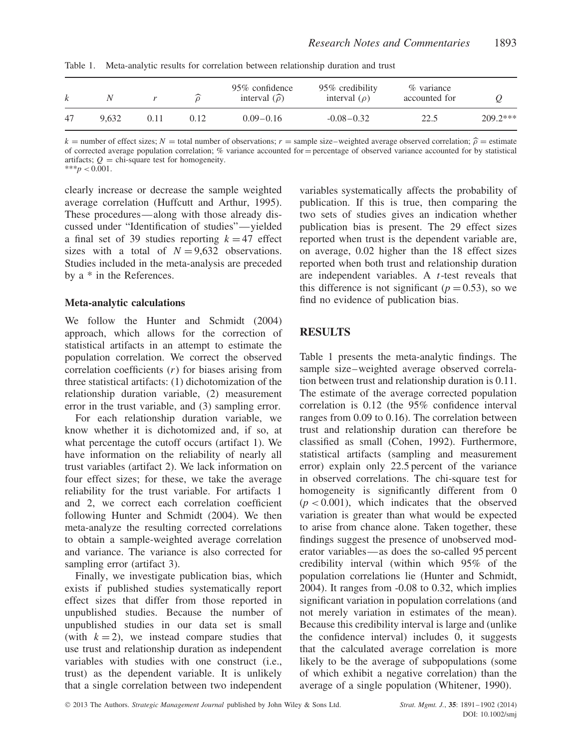| k  | N     |      | $\widehat{o}$ | 95% confidence<br>interval $(\widehat{\rho})$ | 95% credibility<br>interval $(\rho)$ | $%$ variance<br>accounted for |            |
|----|-------|------|---------------|-----------------------------------------------|--------------------------------------|-------------------------------|------------|
| 47 | 9.632 | 0.11 | 0.12.         | $0.09 - 0.16$                                 | $-0.08 - 0.32$                       | 22.5                          | $209.2***$ |

of corrected average population correlation; % variance accounted for = percentage of observed variance accounted for by statistical artifacts;  $Q = \text{chi-square test}$  for homogeneity.  $***p<0.001$ .

clearly increase or decrease the sample weighted average correlation (Huffcutt and Arthur, 1995). These procedures—along with those already discussed under "Identification of studies"—yielded a final set of 39 studies reporting  $k = 47$  effect sizes with a total of  $N = 9,632$  observations. Studies included in the meta-analysis are preceded by a \* in the References.

#### **Meta-analytic calculations**

We follow the Hunter and Schmidt (2004) approach, which allows for the correction of statistical artifacts in an attempt to estimate the population correlation. We correct the observed correlation coefficients (*r*) for biases arising from three statistical artifacts: (1) dichotomization of the relationship duration variable, (2) measurement error in the trust variable, and (3) sampling error.

For each relationship duration variable, we know whether it is dichotomized and, if so, at what percentage the cutoff occurs (artifact 1). We have information on the reliability of nearly all trust variables (artifact 2). We lack information on four effect sizes; for these, we take the average reliability for the trust variable. For artifacts 1 and 2, we correct each correlation coefficient following Hunter and Schmidt (2004). We then meta-analyze the resulting corrected correlations to obtain a sample-weighted average correlation and variance. The variance is also corrected for sampling error (artifact 3).

Finally, we investigate publication bias, which exists if published studies systematically report effect sizes that differ from those reported in unpublished studies. Because the number of unpublished studies in our data set is small (with  $k = 2$ ), we instead compare studies that use trust and relationship duration as independent variables with studies with one construct (i.e., trust) as the dependent variable. It is unlikely that a single correlation between two independent variables systematically affects the probability of publication. If this is true, then comparing the two sets of studies gives an indication whether publication bias is present. The 29 effect sizes reported when trust is the dependent variable are, on average, 0.02 higher than the 18 effect sizes reported when both trust and relationship duration are independent variables. A *t*-test reveals that this difference is not significant  $(p = 0.53)$ , so we find no evidence of publication bias.

# **RESULTS**

Table 1 presents the meta-analytic findings. The sample size–weighted average observed correlation between trust and relationship duration is 0.11. The estimate of the average corrected population correlation is 0.12 (the 95% confidence interval ranges from 0.09 to 0.16). The correlation between trust and relationship duration can therefore be classified as small (Cohen, 1992). Furthermore, statistical artifacts (sampling and measurement error) explain only 22.5 percent of the variance in observed correlations. The chi-square test for homogeneity is significantly different from 0  $(p < 0.001)$ , which indicates that the observed variation is greater than what would be expected to arise from chance alone. Taken together, these findings suggest the presence of unobserved moderator variables—as does the so-called 95 percent credibility interval (within which 95% of the population correlations lie (Hunter and Schmidt, 2004). It ranges from -0.08 to 0.32, which implies significant variation in population correlations (and not merely variation in estimates of the mean). Because this credibility interval is large and (unlike the confidence interval) includes 0, it suggests that the calculated average correlation is more likely to be the average of subpopulations (some of which exhibit a negative correlation) than the average of a single population (Whitener, 1990).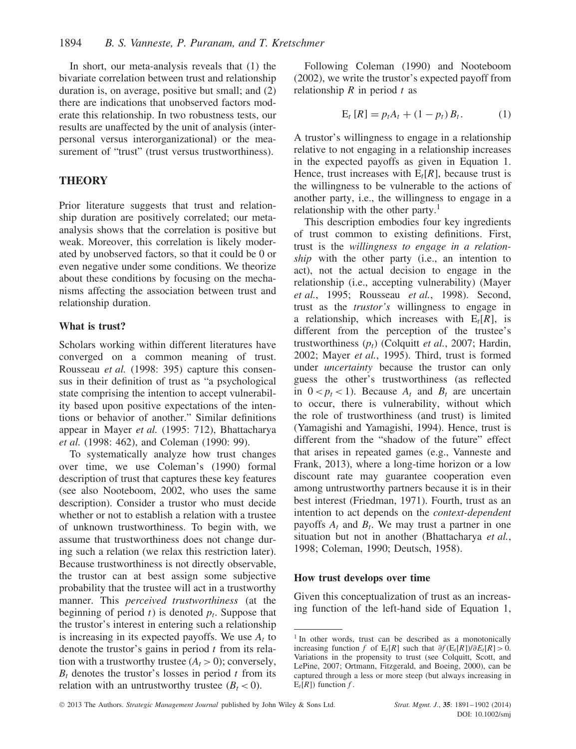In short, our meta-analysis reveals that (1) the bivariate correlation between trust and relationship duration is, on average, positive but small; and (2) there are indications that unobserved factors moderate this relationship. In two robustness tests, our results are unaffected by the unit of analysis (interpersonal versus interorganizational) or the measurement of "trust" (trust versus trustworthiness).

### **THEORY**

Prior literature suggests that trust and relationship duration are positively correlated; our metaanalysis shows that the correlation is positive but weak. Moreover, this correlation is likely moderated by unobserved factors, so that it could be 0 or even negative under some conditions. We theorize about these conditions by focusing on the mechanisms affecting the association between trust and relationship duration.

#### **What is trust?**

Scholars working within different literatures have converged on a common meaning of trust. Rousseau *et al.* (1998: 395) capture this consensus in their definition of trust as "a psychological state comprising the intention to accept vulnerability based upon positive expectations of the intentions or behavior of another." Similar definitions appear in Mayer *et al.* (1995: 712), Bhattacharya *et al.* (1998: 462), and Coleman (1990: 99).

To systematically analyze how trust changes over time, we use Coleman's (1990) formal description of trust that captures these key features (see also Nooteboom, 2002, who uses the same description). Consider a trustor who must decide whether or not to establish a relation with a trustee of unknown trustworthiness. To begin with, we assume that trustworthiness does not change during such a relation (we relax this restriction later). Because trustworthiness is not directly observable, the trustor can at best assign some subjective probability that the trustee will act in a trustworthy manner. This *perceived trustworthiness* (at the beginning of period  $t$ ) is denoted  $p_t$ . Suppose that the trustor's interest in entering such a relationship is increasing in its expected payoffs. We use  $A_t$  to denote the trustor's gains in period *t* from its relation with a trustworthy trustee  $(A_t > 0)$ ; conversely,  $B_t$  denotes the trustor's losses in period  $t$  from its relation with an untrustworthy trustee  $(B_t < 0)$ .

Following Coleman (1990) and Nooteboom (2002), we write the trustor's expected payoff from relationship *R* in period *t* as

$$
E_t[R] = p_t A_t + (1 - p_t) B_t.
$$
 (1)

A trustor's willingness to engage in a relationship relative to not engaging in a relationship increases in the expected payoffs as given in Equation 1. Hence, trust increases with  $E_t[R]$ , because trust is the willingness to be vulnerable to the actions of another party, i.e., the willingness to engage in a relationship with the other party.<sup>1</sup>

This description embodies four key ingredients of trust common to existing definitions. First, trust is the *willingness to engage in a relationship* with the other party (i.e., an intention to act), not the actual decision to engage in the relationship (i.e., accepting vulnerability) (Mayer *et al.*, 1995; Rousseau *et al.*, 1998). Second, trust as the *trustor's* willingness to engage in a relationship, which increases with  $E_t[R]$ , is different from the perception of the trustee's trustworthiness (*pt*) (Colquitt *et al.*, 2007; Hardin, 2002; Mayer *et al.*, 1995). Third, trust is formed under *uncertainty* because the trustor can only guess the other's trustworthiness (as reflected in  $0 < p_t < 1$ ). Because  $A_t$  and  $B_t$  are uncertain to occur, there is vulnerability, without which the role of trustworthiness (and trust) is limited (Yamagishi and Yamagishi, 1994). Hence, trust is different from the "shadow of the future" effect that arises in repeated games (e.g., Vanneste and Frank, 2013), where a long-time horizon or a low discount rate may guarantee cooperation even among untrustworthy partners because it is in their best interest (Friedman, 1971). Fourth, trust as an intention to act depends on the *context-dependent* payoffs  $A_t$  and  $B_t$ . We may trust a partner in one situation but not in another (Bhattacharya *et al.*, 1998; Coleman, 1990; Deutsch, 1958).

## **How trust develops over time**

Given this conceptualization of trust as an increasing function of the left-hand side of Equation 1,

<sup>&</sup>lt;sup>1</sup> In other words, trust can be described as a monotonically increasing function *f* of E<sub>t</sub>[R] such that  $\partial f(E_t[R])/\partial E_t[R] > 0$ . Variations in the propensity to trust (see Colquitt, Scott, and LePine, 2007; Ortmann, Fitzgerald, and Boeing, 2000), can be captured through a less or more steep (but always increasing in  $E_t[R]$ ) function  $f$ .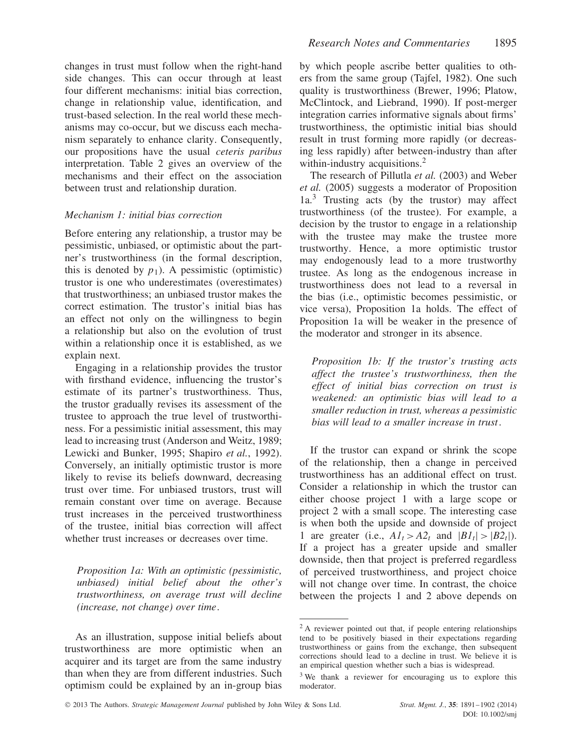changes in trust must follow when the right-hand side changes. This can occur through at least four different mechanisms: initial bias correction, change in relationship value, identification, and trust-based selection. In the real world these mechanisms may co-occur, but we discuss each mechanism separately to enhance clarity. Consequently, our propositions have the usual *ceteris paribus* interpretation. Table 2 gives an overview of the mechanisms and their effect on the association between trust and relationship duration.

### *Mechanism 1: initial bias correction*

Before entering any relationship, a trustor may be pessimistic, unbiased, or optimistic about the partner's trustworthiness (in the formal description, this is denoted by  $p_1$ ). A pessimistic (optimistic) trustor is one who underestimates (overestimates) that trustworthiness; an unbiased trustor makes the correct estimation. The trustor's initial bias has an effect not only on the willingness to begin a relationship but also on the evolution of trust within a relationship once it is established, as we explain next.

Engaging in a relationship provides the trustor with firsthand evidence, influencing the trustor's estimate of its partner's trustworthiness. Thus, the trustor gradually revises its assessment of the trustee to approach the true level of trustworthiness. For a pessimistic initial assessment, this may lead to increasing trust (Anderson and Weitz, 1989; Lewicki and Bunker, 1995; Shapiro *et al.*, 1992). Conversely, an initially optimistic trustor is more likely to revise its beliefs downward, decreasing trust over time. For unbiased trustors, trust will remain constant over time on average. Because trust increases in the perceived trustworthiness of the trustee, initial bias correction will affect whether trust increases or decreases over time.

*Proposition 1a: With an optimistic (pessimistic, unbiased) initial belief about the other's trustworthiness, on average trust will decline (increase, not change) over time*.

As an illustration, suppose initial beliefs about trustworthiness are more optimistic when an acquirer and its target are from the same industry than when they are from different industries. Such optimism could be explained by an in-group bias

by which people ascribe better qualities to others from the same group (Tajfel, 1982). One such quality is trustworthiness (Brewer, 1996; Platow, McClintock, and Liebrand, 1990). If post-merger integration carries informative signals about firms' trustworthiness, the optimistic initial bias should result in trust forming more rapidly (or decreasing less rapidly) after between-industry than after within-industry acquisitions.<sup>2</sup>

The research of Pillutla *et al.* (2003) and Weber *et al.* (2005) suggests a moderator of Proposition 1a.<sup>3</sup> Trusting acts (by the trustor) may affect trustworthiness (of the trustee). For example, a decision by the trustor to engage in a relationship with the trustee may make the trustee more trustworthy. Hence, a more optimistic trustor may endogenously lead to a more trustworthy trustee. As long as the endogenous increase in trustworthiness does not lead to a reversal in the bias (i.e., optimistic becomes pessimistic, or vice versa), Proposition 1a holds. The effect of Proposition 1a will be weaker in the presence of the moderator and stronger in its absence.

*Proposition 1b: If the trustor's trusting acts affect the trustee's trustworthiness, then the effect of initial bias correction on trust is weakened: an optimistic bias will lead to a smaller reduction in trust, whereas a pessimistic bias will lead to a smaller increase in trust*.

If the trustor can expand or shrink the scope of the relationship, then a change in perceived trustworthiness has an additional effect on trust. Consider a relationship in which the trustor can either choose project 1 with a large scope or project 2 with a small scope. The interesting case is when both the upside and downside of project 1 are greater (i.e.,  $AI_t > A2_t$  and  $|BI_t| > |B2_t|$ ). If a project has a greater upside and smaller downside, then that project is preferred regardless of perceived trustworthiness, and project choice will not change over time. In contrast, the choice between the projects 1 and 2 above depends on

<sup>&</sup>lt;sup>2</sup> A reviewer pointed out that, if people entering relationships tend to be positively biased in their expectations regarding trustworthiness or gains from the exchange, then subsequent corrections should lead to a decline in trust. We believe it is an empirical question whether such a bias is widespread.

<sup>&</sup>lt;sup>3</sup> We thank a reviewer for encouraging us to explore this moderator.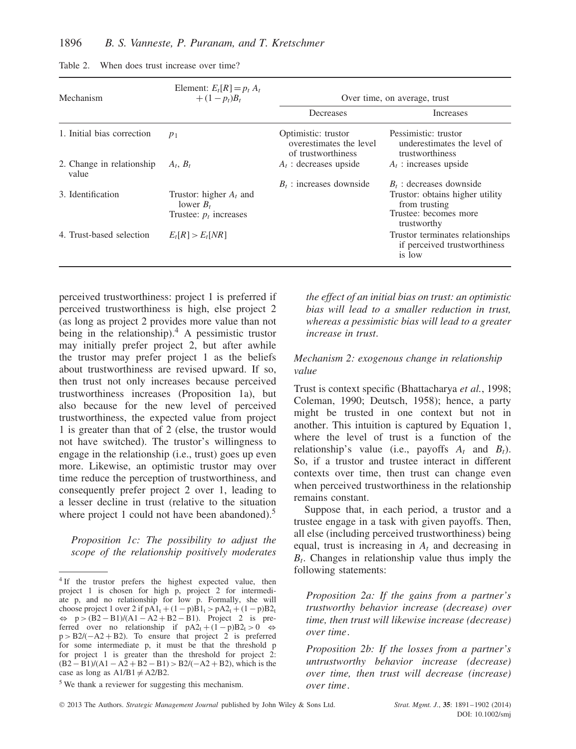| Mechanism                          | Element: $E_t[R] = p_t A_t$<br>$+(1-p_t)B_t$ | Over time, on average, trust                                         |                                                                            |  |
|------------------------------------|----------------------------------------------|----------------------------------------------------------------------|----------------------------------------------------------------------------|--|
|                                    |                                              | Decreases                                                            | <i><u>Increases</u></i>                                                    |  |
| 1. Initial bias correction         | $p_1$                                        | Optimistic: trustor<br>overestimates the level<br>of trustworthiness | Pessimistic: trustor<br>underestimates the level of<br>trustworthiness     |  |
| 2. Change in relationship<br>value | $A_t$ , $B_t$                                | $A_t$ : decreases upside                                             | $A_t$ : increases upside                                                   |  |
|                                    |                                              | $B_t$ : increases downside                                           | $B_t$ : decreases downside                                                 |  |
| 3. Identification                  | Trustor: higher $A_t$ and<br>lower $B_t$     |                                                                      | Trustor: obtains higher utility<br>from trusting                           |  |
|                                    | Trustee: $p_t$ increases                     |                                                                      | Trustee: becomes more<br>trustworthy                                       |  |
| 4. Trust-based selection           | $E_t[R] > E_t[NR]$                           |                                                                      | Trustor terminates relationships<br>if perceived trustworthiness<br>is low |  |

| Table 2. When does trust increase over time? |  |  |
|----------------------------------------------|--|--|
|----------------------------------------------|--|--|

perceived trustworthiness: project 1 is preferred if perceived trustworthiness is high, else project 2 (as long as project 2 provides more value than not being in the relationship).<sup>4</sup> A pessimistic trustor may initially prefer project 2, but after awhile the trustor may prefer project 1 as the beliefs about trustworthiness are revised upward. If so, then trust not only increases because perceived trustworthiness increases (Proposition 1a), but also because for the new level of perceived trustworthiness, the expected value from project 1 is greater than that of 2 (else, the trustor would not have switched). The trustor's willingness to engage in the relationship (i.e., trust) goes up even more. Likewise, an optimistic trustor may over time reduce the perception of trustworthiness, and consequently prefer project 2 over 1, leading to a lesser decline in trust (relative to the situation where project 1 could not have been abandoned).<sup>5</sup>

*Proposition 1c: The possibility to adjust the scope of the relationship positively moderates* *the effect of an initial bias on trust: an optimistic bias will lead to a smaller reduction in trust, whereas a pessimistic bias will lead to a greater increase in trust*.

## *Mechanism 2: exogenous change in relationship value*

Trust is context specific (Bhattacharya *et al.*, 1998; Coleman, 1990; Deutsch, 1958); hence, a party might be trusted in one context but not in another. This intuition is captured by Equation 1, where the level of trust is a function of the relationship's value (i.e., payoffs  $A_t$  and  $B_t$ ). So, if a trustor and trustee interact in different contexts over time, then trust can change even when perceived trustworthiness in the relationship remains constant.

Suppose that, in each period, a trustor and a trustee engage in a task with given payoffs. Then, all else (including perceived trustworthiness) being equal, trust is increasing in  $A_t$  and decreasing in *Bt*. Changes in relationship value thus imply the following statements:

*Proposition 2a: If the gains from a partner's trustworthy behavior increase (decrease) over time, then trust will likewise increase (decrease) over time*.

*Proposition 2b: If the losses from a partner's untrustworthy behavior increase (decrease) over time, then trust will decrease (increase) over time*.

<sup>&</sup>lt;sup>4</sup> If the trustor prefers the highest expected value, then project 1 is chosen for high p, project 2 for intermediate p, and no relationship for low p. Formally, she will choose project 1 over 2 if  $pA1_t + (1-p)B1_t > pA2_t + (1-p)B2_t$ ⇔ p *>* (B2 − B1)/(A1 − A2 + B2 − B1). Project 2 is preferred over no relationship if  $pA2_t + (1-p)B2_t > 0$   $\Leftrightarrow$ p *>* B2/(−A2 + B2). To ensure that project 2 is preferred for some intermediate p, it must be that the threshold p for project 1 is greater than the threshold for project 2: (B2 − B1)/(A1 − A2 + B2 − B1) *>* B2/(−A2 + B2), which is the case as long as  $A1/B1 \neq A2/B2$ .

<sup>5</sup> We thank a reviewer for suggesting this mechanism.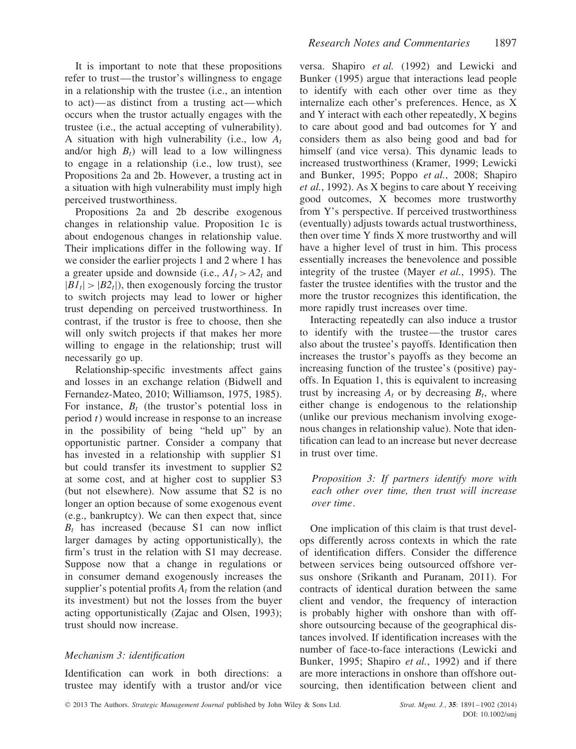It is important to note that these propositions refer to trust—the trustor's willingness to engage in a relationship with the trustee (i.e., an intention to act)—as distinct from a trusting act—which occurs when the trustor actually engages with the trustee (i.e., the actual accepting of vulnerability). A situation with high vulnerability (i.e., low *At* and/or high  $B_t$ ) will lead to a low willingness to engage in a relationship (i.e., low trust), see Propositions 2a and 2b. However, a trusting act in a situation with high vulnerability must imply high perceived trustworthiness.

Propositions 2a and 2b describe exogenous changes in relationship value. Proposition 1c is about endogenous changes in relationship value. Their implications differ in the following way. If we consider the earlier projects 1 and 2 where 1 has a greater upside and downside (i.e.,  $AI_t > A2_t$  and  $|BI_t| > |B_2|$ , then exogenously forcing the trustor to switch projects may lead to lower or higher trust depending on perceived trustworthiness. In contrast, if the trustor is free to choose, then she will only switch projects if that makes her more willing to engage in the relationship; trust will necessarily go up.

Relationship-specific investments affect gains and losses in an exchange relation (Bidwell and Fernandez-Mateo, 2010; Williamson, 1975, 1985). For instance,  $B_t$  (the trustor's potential loss in period *t*) would increase in response to an increase in the possibility of being "held up" by an opportunistic partner. Consider a company that has invested in a relationship with supplier S1 but could transfer its investment to supplier S2 at some cost, and at higher cost to supplier S3 (but not elsewhere). Now assume that S2 is no longer an option because of some exogenous event (e.g., bankruptcy). We can then expect that, since *Bt* has increased (because S1 can now inflict larger damages by acting opportunistically), the firm's trust in the relation with S1 may decrease. Suppose now that a change in regulations or in consumer demand exogenously increases the supplier's potential profits *At* from the relation (and its investment) but not the losses from the buyer acting opportunistically (Zajac and Olsen, 1993); trust should now increase.

# *Mechanism 3: identification*

Identification can work in both directions: a trustee may identify with a trustor and/or vice versa. Shapiro *et al.* (1992) and Lewicki and Bunker (1995) argue that interactions lead people to identify with each other over time as they internalize each other's preferences. Hence, as X and Y interact with each other repeatedly, X begins to care about good and bad outcomes for Y and considers them as also being good and bad for himself (and vice versa). This dynamic leads to increased trustworthiness (Kramer, 1999; Lewicki and Bunker, 1995; Poppo *et al.*, 2008; Shapiro *et al.*, 1992). As X begins to care about Y receiving good outcomes, X becomes more trustworthy from Y's perspective. If perceived trustworthiness (eventually) adjusts towards actual trustworthiness, then over time Y finds X more trustworthy and will have a higher level of trust in him. This process essentially increases the benevolence and possible integrity of the trustee (Mayer *et al.*, 1995). The faster the trustee identifies with the trustor and the more the trustor recognizes this identification, the more rapidly trust increases over time.

Interacting repeatedly can also induce a trustor to identify with the trustee—the trustor cares also about the trustee's payoffs. Identification then increases the trustor's payoffs as they become an increasing function of the trustee's (positive) payoffs. In Equation 1, this is equivalent to increasing trust by increasing  $A_t$  or by decreasing  $B_t$ , where either change is endogenous to the relationship (unlike our previous mechanism involving exogenous changes in relationship value). Note that identification can lead to an increase but never decrease in trust over time.

*Proposition 3: If partners identify more with each other over time, then trust will increase over time*.

One implication of this claim is that trust develops differently across contexts in which the rate of identification differs. Consider the difference between services being outsourced offshore versus onshore (Srikanth and Puranam, 2011). For contracts of identical duration between the same client and vendor, the frequency of interaction is probably higher with onshore than with offshore outsourcing because of the geographical distances involved. If identification increases with the number of face-to-face interactions (Lewicki and Bunker, 1995; Shapiro *et al.*, 1992) and if there are more interactions in onshore than offshore outsourcing, then identification between client and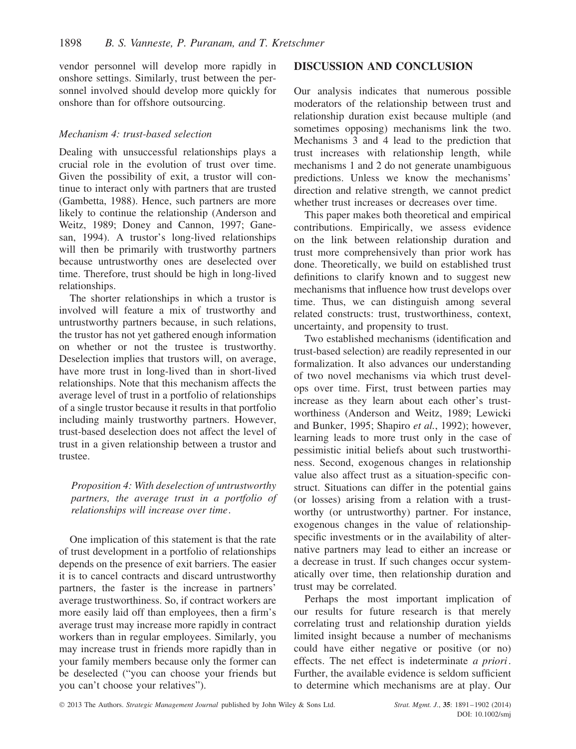vendor personnel will develop more rapidly in onshore settings. Similarly, trust between the personnel involved should develop more quickly for onshore than for offshore outsourcing.

# *Mechanism 4: trust-based selection*

Dealing with unsuccessful relationships plays a crucial role in the evolution of trust over time. Given the possibility of exit, a trustor will continue to interact only with partners that are trusted (Gambetta, 1988). Hence, such partners are more likely to continue the relationship (Anderson and Weitz, 1989; Doney and Cannon, 1997; Ganesan, 1994). A trustor's long-lived relationships will then be primarily with trustworthy partners because untrustworthy ones are deselected over time. Therefore, trust should be high in long-lived relationships.

The shorter relationships in which a trustor is involved will feature a mix of trustworthy and untrustworthy partners because, in such relations, the trustor has not yet gathered enough information on whether or not the trustee is trustworthy. Deselection implies that trustors will, on average, have more trust in long-lived than in short-lived relationships. Note that this mechanism affects the average level of trust in a portfolio of relationships of a single trustor because it results in that portfolio including mainly trustworthy partners. However, trust-based deselection does not affect the level of trust in a given relationship between a trustor and trustee.

*Proposition 4: With deselection of untrustworthy partners, the average trust in a portfolio of relationships will increase over time*.

One implication of this statement is that the rate of trust development in a portfolio of relationships depends on the presence of exit barriers. The easier it is to cancel contracts and discard untrustworthy partners, the faster is the increase in partners' average trustworthiness. So, if contract workers are more easily laid off than employees, then a firm's average trust may increase more rapidly in contract workers than in regular employees. Similarly, you may increase trust in friends more rapidly than in your family members because only the former can be deselected ("you can choose your friends but you can't choose your relatives").

# **DISCUSSION AND CONCLUSION**

Our analysis indicates that numerous possible moderators of the relationship between trust and relationship duration exist because multiple (and sometimes opposing) mechanisms link the two. Mechanisms 3 and 4 lead to the prediction that trust increases with relationship length, while mechanisms 1 and 2 do not generate unambiguous predictions. Unless we know the mechanisms' direction and relative strength, we cannot predict whether trust increases or decreases over time.

This paper makes both theoretical and empirical contributions. Empirically, we assess evidence on the link between relationship duration and trust more comprehensively than prior work has done. Theoretically, we build on established trust definitions to clarify known and to suggest new mechanisms that influence how trust develops over time. Thus, we can distinguish among several related constructs: trust, trustworthiness, context, uncertainty, and propensity to trust.

Two established mechanisms (identification and trust-based selection) are readily represented in our formalization. It also advances our understanding of two novel mechanisms via which trust develops over time. First, trust between parties may increase as they learn about each other's trustworthiness (Anderson and Weitz, 1989; Lewicki and Bunker, 1995; Shapiro *et al.*, 1992); however, learning leads to more trust only in the case of pessimistic initial beliefs about such trustworthiness. Second, exogenous changes in relationship value also affect trust as a situation-specific construct. Situations can differ in the potential gains (or losses) arising from a relation with a trustworthy (or untrustworthy) partner. For instance, exogenous changes in the value of relationshipspecific investments or in the availability of alternative partners may lead to either an increase or a decrease in trust. If such changes occur systematically over time, then relationship duration and trust may be correlated.

Perhaps the most important implication of our results for future research is that merely correlating trust and relationship duration yields limited insight because a number of mechanisms could have either negative or positive (or no) effects. The net effect is indeterminate *a priori*. Further, the available evidence is seldom sufficient to determine which mechanisms are at play. Our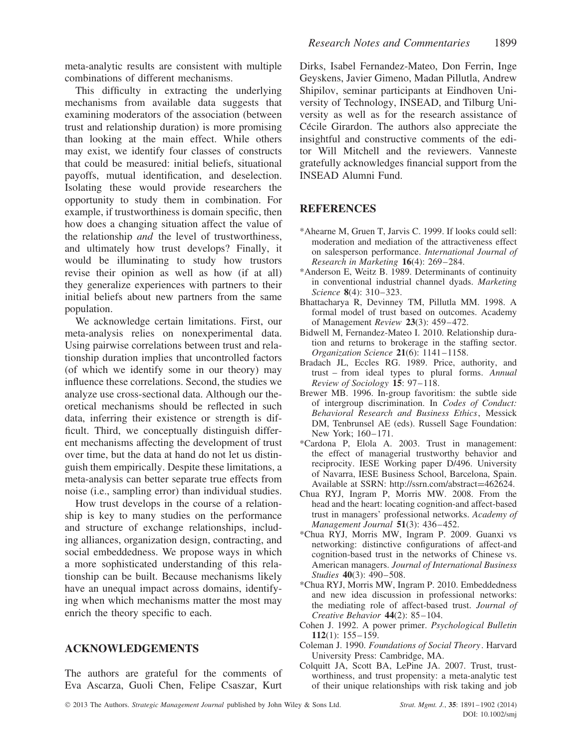meta-analytic results are consistent with multiple combinations of different mechanisms.

This difficulty in extracting the underlying mechanisms from available data suggests that examining moderators of the association (between trust and relationship duration) is more promising than looking at the main effect. While others may exist, we identify four classes of constructs that could be measured: initial beliefs, situational payoffs, mutual identification, and deselection. Isolating these would provide researchers the opportunity to study them in combination. For example, if trustworthiness is domain specific, then how does a changing situation affect the value of the relationship *and* the level of trustworthiness, and ultimately how trust develops? Finally, it would be illuminating to study how trustors revise their opinion as well as how (if at all) they generalize experiences with partners to their initial beliefs about new partners from the same population.

We acknowledge certain limitations. First, our meta-analysis relies on nonexperimental data. Using pairwise correlations between trust and relationship duration implies that uncontrolled factors (of which we identify some in our theory) may influence these correlations. Second, the studies we analyze use cross-sectional data. Although our theoretical mechanisms should be reflected in such data, inferring their existence or strength is difficult. Third, we conceptually distinguish different mechanisms affecting the development of trust over time, but the data at hand do not let us distinguish them empirically. Despite these limitations, a meta-analysis can better separate true effects from noise (i.e., sampling error) than individual studies.

How trust develops in the course of a relationship is key to many studies on the performance and structure of exchange relationships, including alliances, organization design, contracting, and social embeddedness. We propose ways in which a more sophisticated understanding of this relationship can be built. Because mechanisms likely have an unequal impact across domains, identifying when which mechanisms matter the most may enrich the theory specific to each.

#### **ACKNOWLEDGEMENTS**

The authors are grateful for the comments of Eva Ascarza, Guoli Chen, Felipe Csaszar, Kurt Dirks, Isabel Fernandez-Mateo, Don Ferrin, Inge Geyskens, Javier Gimeno, Madan Pillutla, Andrew Shipilov, seminar participants at Eindhoven University of Technology, INSEAD, and Tilburg University as well as for the research assistance of Cécile Girardon. The authors also appreciate the insightful and constructive comments of the editor Will Mitchell and the reviewers. Vanneste gratefully acknowledges financial support from the INSEAD Alumni Fund.

#### **REFERENCES**

- \*Ahearne M, Gruen T, Jarvis C. 1999. If looks could sell: moderation and mediation of the attractiveness effect on salesperson performance. *International Journal of Research in Marketing* **16**(4): 269–284.
- \*Anderson E, Weitz B. 1989. Determinants of continuity in conventional industrial channel dyads. *Marketing Science* **8**(4): 310–323.
- Bhattacharya R, Devinney TM, Pillutla MM. 1998. A formal model of trust based on outcomes. Academy of Management *Review* **23**(3): 459–472.
- Bidwell M, Fernandez-Mateo I. 2010. Relationship duration and returns to brokerage in the staffing sector. *Organization Science* **21**(6): 1141–1158.
- Bradach JL, Eccles RG. 1989. Price, authority, and trust – from ideal types to plural forms. *Annual Review of Sociology* **15**: 97–118.
- Brewer MB. 1996. In-group favoritism: the subtle side of intergroup discrimination. In *Codes of Conduct: Behavioral Research and Business Ethics*, Messick DM, Tenbrunsel AE (eds). Russell Sage Foundation: New York; 160–171.
- \*Cardona P, Elola A. 2003. Trust in management: the effect of managerial trustworthy behavior and reciprocity. IESE Working paper D/496. University of Navarra, IESE Business School, Barcelona, Spain. Available at SSRN: http://ssrn.com/abstract=462624.
- Chua RYJ, Ingram P, Morris MW. 2008. From the head and the heart: locating cognition-and affect-based trust in managers' professional networks. *Academy of Management Journal* **51**(3): 436–452.
- \*Chua RYJ, Morris MW, Ingram P. 2009. Guanxi vs networking: distinctive configurations of affect-and cognition-based trust in the networks of Chinese vs. American managers. *Journal of International Business Studies* **40**(3): 490–508.
- \*Chua RYJ, Morris MW, Ingram P. 2010. Embeddedness and new idea discussion in professional networks: the mediating role of affect-based trust. *Journal of Creative Behavior* **44**(2): 85–104.
- Cohen J. 1992. A power primer. *Psychological Bulletin* **112**(1): 155–159.
- Coleman J. 1990. *Foundations of Social Theory*. Harvard University Press: Cambridge, MA.
- Colquitt JA, Scott BA, LePine JA. 2007. Trust, trustworthiness, and trust propensity: a meta-analytic test of their unique relationships with risk taking and job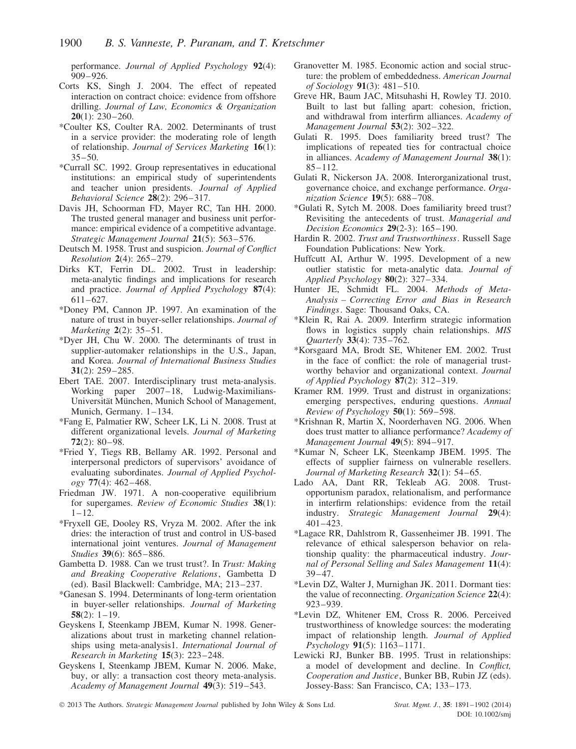performance. *Journal of Applied Psychology* **92**(4):  $909 - 926.$ 

- Corts KS, Singh J. 2004. The effect of repeated interaction on contract choice: evidence from offshore drilling. *Journal of Law, Economics & Organization* **20**(1): 230–260.
- \*Coulter KS, Coulter RA. 2002. Determinants of trust in a service provider: the moderating role of length of relationship. *Journal of Services Marketing* **16**(1):  $35 - 50$ .
- \*Currall SC. 1992. Group representatives in educational institutions: an empirical study of superintendents and teacher union presidents. *Journal of Applied Behavioral Science* **28**(2): 296–317.
- Davis JH, Schoorman FD, Mayer RC, Tan HH. 2000. The trusted general manager and business unit performance: empirical evidence of a competitive advantage. *Strategic Management Journal* **21**(5): 563–576.
- Deutsch M. 1958. Trust and suspicion. *Journal of Conflict Resolution* **2**(4): 265–279.
- Dirks KT, Ferrin DL. 2002. Trust in leadership: meta-analytic findings and implications for research and practice. *Journal of Applied Psychology* **87**(4): 611–627.
- \*Doney PM, Cannon JP. 1997. An examination of the nature of trust in buyer-seller relationships. *Journal of Marketing* **2**(2): 35–51.
- \*Dyer JH, Chu W. 2000. The determinants of trust in supplier-automaker relationships in the U.S., Japan, and Korea. *Journal of International Business Studies* **31**(2): 259–285.
- Ebert TAE. 2007. Interdisciplinary trust meta-analysis. Working paper 2007–18, Ludwig-Maximilians-Universität München, Munich School of Management, Munich, Germany. 1–134.
- \*Fang E, Palmatier RW, Scheer LK, Li N. 2008. Trust at different organizational levels. *Journal of Marketing* **72**(2): 80–98.
- \*Fried Y, Tiegs RB, Bellamy AR. 1992. Personal and interpersonal predictors of supervisors' avoidance of evaluating subordinates. *Journal of Applied Psychology* **77**(4): 462–468.
- Friedman JW. 1971. A non-cooperative equilibrium for supergames. *Review of Economic Studies* **38**(1):  $1 - 12$ .
- \*Fryxell GE, Dooley RS, Vryza M. 2002. After the ink dries: the interaction of trust and control in US-based international joint ventures. *Journal of Management Studies* **39**(6): 865–886.
- Gambetta D. 1988. Can we trust trust?. In *Trust: Making and Breaking Cooperative Relations*, Gambetta D (ed). Basil Blackwell: Cambridge, MA; 213–237.
- \*Ganesan S. 1994. Determinants of long-term orientation in buyer-seller relationships. *Journal of Marketing* **58**(2): 1–19.
- Geyskens I, Steenkamp JBEM, Kumar N. 1998. Generalizations about trust in marketing channel relationships using meta-analysis1. *International Journal of Research in Marketing* **15**(3): 223–248.
- Geyskens I, Steenkamp JBEM, Kumar N. 2006. Make, buy, or ally: a transaction cost theory meta-analysis. *Academy of Management Journal* **49**(3): 519–543.
- Granovetter M. 1985. Economic action and social structure: the problem of embeddedness. *American Journal of Sociology* **91**(3): 481–510.
- Greve HR, Baum JAC, Mitsuhashi H, Rowley TJ. 2010. Built to last but falling apart: cohesion, friction, and withdrawal from interfirm alliances. *Academy of Management Journal* **53**(2): 302–322.
- Gulati R. 1995. Does familiarity breed trust? The implications of repeated ties for contractual choice in alliances. *Academy of Management Journal* **38**(1): 85–112.
- Gulati R, Nickerson JA. 2008. Interorganizational trust, governance choice, and exchange performance. *Organization Science* **19**(5): 688–708.
- \*Gulati R, Sytch M. 2008. Does familiarity breed trust? Revisiting the antecedents of trust. *Managerial and Decision Economics* **29**(2-3): 165–190.
- Hardin R. 2002. *Trust and Trustworthiness*. Russell Sage Foundation Publications: New York.
- Huffcutt AI, Arthur W. 1995. Development of a new outlier statistic for meta-analytic data. *Journal of Applied Psychology* **80**(2): 327–334.
- Hunter JE, Schmidt FL. 2004. *Methods of Meta-Analysis – Correcting Error and Bias in Research Findings*. Sage: Thousand Oaks, CA.
- \*Klein R, Rai A. 2009. Interfirm strategic information flows in logistics supply chain relationships. *MIS Quarterly* **33**(4): 735–762.
- \*Korsgaard MA, Brodt SE, Whitener EM. 2002. Trust in the face of conflict: the role of managerial trustworthy behavior and organizational context. *Journal of Applied Psychology* **87**(2): 312–319.
- Kramer RM. 1999. Trust and distrust in organizations: emerging perspectives, enduring questions. *Annual Review of Psychology* **50**(1): 569–598.
- \*Krishnan R, Martin X, Noorderhaven NG. 2006. When does trust matter to alliance performance? *Academy of Management Journal* **49**(5): 894–917.
- \*Kumar N, Scheer LK, Steenkamp JBEM. 1995. The effects of supplier fairness on vulnerable resellers. *Journal of Marketing Research* **32**(1): 54–65.
- Lado AA, Dant RR, Tekleab AG. 2008. Trustopportunism paradox, relationalism, and performance in interfirm relationships: evidence from the retail industry. *Strategic Management Journal* **29**(4): 401–423.
- \*Lagace RR, Dahlstrom R, Gassenheimer JB. 1991. The relevance of ethical salesperson behavior on relationship quality: the pharmaceutical industry. *Journal of Personal Selling and Sales Management* **11**(4):  $39 - 47$
- \*Levin DZ, Walter J, Murnighan JK. 2011. Dormant ties: the value of reconnecting. *Organization Science* **22**(4): 923–939.
- \*Levin DZ, Whitener EM, Cross R. 2006. Perceived trustworthiness of knowledge sources: the moderating impact of relationship length. *Journal of Applied Psychology* **91**(5): 1163–1171.
- Lewicki RJ, Bunker BB. 1995. Trust in relationships: a model of development and decline. In *Conflict, Cooperation and Justice*, Bunker BB, Rubin JZ (eds). Jossey-Bass: San Francisco, CA; 133–173.
- © 2013 The Authors. *Strategic Management Journal* published by John Wiley & Sons Ltd. *Strat. Mgmt. J.*, **35**: 1891–1902 (2014)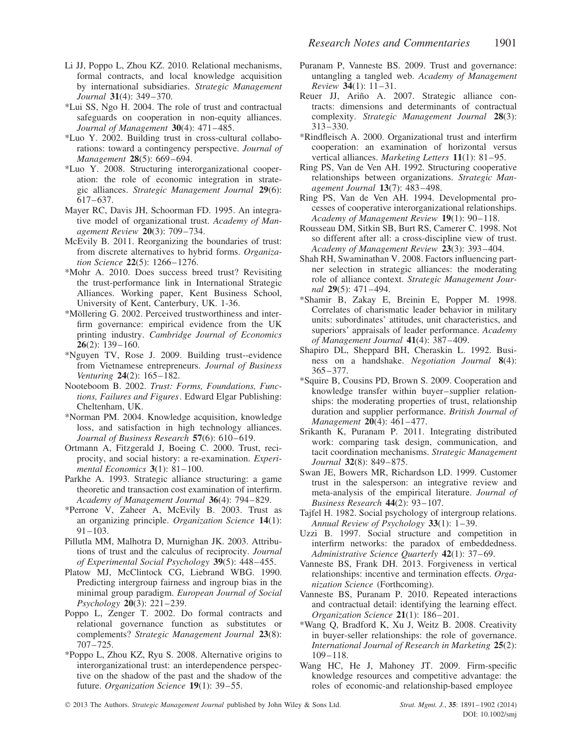- Li JJ, Poppo L, Zhou KZ. 2010. Relational mechanisms, formal contracts, and local knowledge acquisition by international subsidiaries. *Strategic Management Journal* **31**(4): 349–370.
- \*Lui SS, Ngo H. 2004. The role of trust and contractual safeguards on cooperation in non-equity alliances. *Journal of Management* **30**(4): 471–485.
- \*Luo Y. 2002. Building trust in cross-cultural collaborations: toward a contingency perspective. *Journal of Management* **28**(5): 669–694.
- \*Luo Y. 2008. Structuring interorganizational cooperation: the role of economic integration in strategic alliances. *Strategic Management Journal* **29**(6): 617–637.
- Mayer RC, Davis JH, Schoorman FD. 1995. An integrative model of organizational trust. *Academy of Management Review* **20**(3): 709–734.
- McEvily B. 2011. Reorganizing the boundaries of trust: from discrete alternatives to hybrid forms. *Organization Science* **22**(5): 1266–1276.
- \*Mohr A. 2010. Does success breed trust? Revisiting the trust-performance link in International Strategic Alliances. Working paper, Kent Business School, University of Kent, Canterbury, UK. 1-36.
- \*Mollering G. 2002. Perceived trustworthiness and inter- ¨ firm governance: empirical evidence from the UK printing industry. *Cambridge Journal of Economics* **26**(2): 139–160.
- \*Nguyen TV, Rose J. 2009. Building trust--evidence from Vietnamese entrepreneurs. *Journal of Business Venturing* **24**(2): 165–182.
- Nooteboom B. 2002. *Trust: Forms, Foundations, Functions, Failures and Figures*. Edward Elgar Publishing: Cheltenham, UK.
- \*Norman PM. 2004. Knowledge acquisition, knowledge loss, and satisfaction in high technology alliances. *Journal of Business Research* **57**(6): 610–619.
- Ortmann A, Fitzgerald J, Boeing C. 2000. Trust, reciprocity, and social history: a re-examination. *Experimental Economics* **3**(1): 81–100.
- Parkhe A. 1993. Strategic alliance structuring: a game theoretic and transaction cost examination of interfirm. *Academy of Management Journal* **36**(4): 794–829.
- \*Perrone V, Zaheer A, McEvily B. 2003. Trust as an organizing principle. *Organization Science* **14**(1): 91–103.
- Pillutla MM, Malhotra D, Murnighan JK. 2003. Attributions of trust and the calculus of reciprocity. *Journal of Experimental Social Psychology* **39**(5): 448–455.
- Platow MJ, McClintock CG, Liebrand WBG. 1990. Predicting intergroup fairness and ingroup bias in the minimal group paradigm. *European Journal of Social Psychology* **20**(3): 221–239.
- Poppo L, Zenger T. 2002. Do formal contracts and relational governance function as substitutes or complements? *Strategic Management Journal* **23**(8): 707–725.
- \*Poppo L, Zhou KZ, Ryu S. 2008. Alternative origins to interorganizational trust: an interdependence perspective on the shadow of the past and the shadow of the future. *Organization Science* **19**(1): 39–55.
- Puranam P, Vanneste BS. 2009. Trust and governance: untangling a tangled web. *Academy of Management Review* **34**(1): 11–31.
- Reuer JJ, Ariño A. 2007. Strategic alliance contracts: dimensions and determinants of contractual complexity. *Strategic Management Journal* **28**(3): 313–330.
- \*Rindfleisch A. 2000. Organizational trust and interfirm cooperation: an examination of horizontal versus vertical alliances. *Marketing Letters* **11**(1): 81–95.
- Ring PS, Van de Ven AH. 1992. Structuring cooperative relationships between organizations. *Strategic Management Journal* **13**(7): 483–498.
- Ring PS, Van de Ven AH. 1994. Developmental processes of cooperative interorganizational relationships. *Academy of Management Review* **19**(1): 90–118.
- Rousseau DM, Sitkin SB, Burt RS, Camerer C. 1998. Not so different after all: a cross-discipline view of trust. *Academy of Management Review* **23**(3): 393–404.
- Shah RH, Swaminathan V. 2008. Factors influencing partner selection in strategic alliances: the moderating role of alliance context. *Strategic Management Journal* **29**(5): 471–494.
- \*Shamir B, Zakay E, Breinin E, Popper M. 1998. Correlates of charismatic leader behavior in military units: subordinates' attitudes, unit characteristics, and superiors' appraisals of leader performance. *Academy of Management Journal* **41**(4): 387–409.
- Shapiro DL, Sheppard BH, Cheraskin L. 1992. Business on a handshake. *Negotiation Journal* **8**(4): 365–377.
- \*Squire B, Cousins PD, Brown S. 2009. Cooperation and knowledge transfer within buyer–supplier relationships: the moderating properties of trust, relationship duration and supplier performance. *British Journal of Management* **20**(4): 461–477.
- Srikanth K, Puranam P. 2011. Integrating distributed work: comparing task design, communication, and tacit coordination mechanisms. *Strategic Management Journal* **32**(8): 849–875.
- Swan JE, Bowers MR, Richardson LD. 1999. Customer trust in the salesperson: an integrative review and meta-analysis of the empirical literature. *Journal of Business Research* **44**(2): 93–107.
- Tajfel H. 1982. Social psychology of intergroup relations. *Annual Review of Psychology* **33**(1): 1–39.
- Uzzi B. 1997. Social structure and competition in interfirm networks: the paradox of embeddedness. *Administrative Science Quarterly* **42**(1): 37–69.
- Vanneste BS, Frank DH. 2013. Forgiveness in vertical relationships: incentive and termination effects. *Organization Science* (Forthcoming).
- Vanneste BS, Puranam P. 2010. Repeated interactions and contractual detail: identifying the learning effect. *Organization Science* **21**(1): 186–201.
- \*Wang Q, Bradford K, Xu J, Weitz B. 2008. Creativity in buyer-seller relationships: the role of governance. *International Journal of Research in Marketing* **25**(2): 109–118.
- Wang HC, He J, Mahoney JT. 2009. Firm-specific knowledge resources and competitive advantage: the roles of economic-and relationship-based employee

<sup>©</sup> 2013 The Authors. *Strategic Management Journal* published by John Wiley & Sons Ltd. *Strat. Mgmt. J.*, **35**: 1891–1902 (2014)